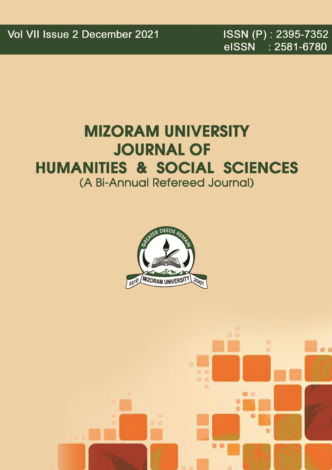Vol VII Issue 2 December 2021

ISSN (P): 2395-7352 eISSN : 2581-6780

# **MIZORAM UNIVERSITY JOURNAL OF HUMANITIES & SOCIAL SCIENCES** (A Bi-Annual Refereed Journal)

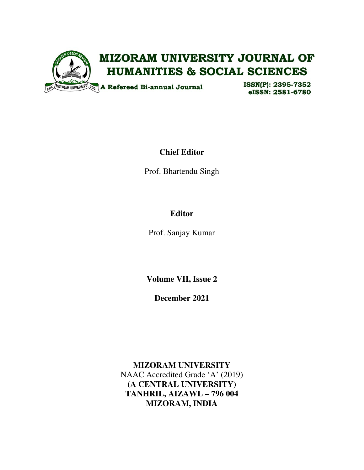

# **Chief Editor**

Prof. Bhartendu Singh

# **Editor**

Prof. Sanjay Kumar

**Volume VII, Issue 2** 

**December 2021** 

**MIZORAM UNIVERSITY**  NAAC Accredited Grade 'A' (2019) **(A CENTRAL UNIVERSITY) TANHRIL, AIZAWL – 796 004 MIZORAM, INDIA**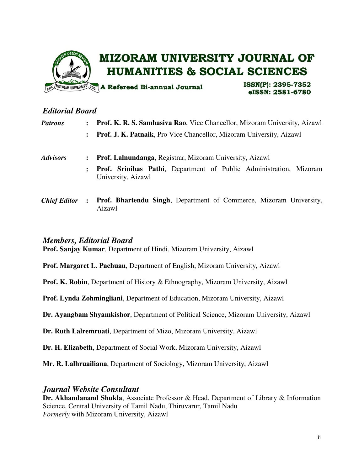

### *Editorial Board*

| <b>Patrons</b>      | $\ddot{\cdot}$       | <b>Prof. K. R. S. Sambasiva Rao, Vice Chancellor, Mizoram University, Aizawl</b>                |
|---------------------|----------------------|-------------------------------------------------------------------------------------------------|
|                     | $\ddot{\phantom{a}}$ | <b>Prof. J. K. Patnaik</b> , Pro Vice Chancellor, Mizoram University, Aizawl                    |
| <b>Advisors</b>     | $\ddot{\phantom{a}}$ | <b>Prof. Lalnundanga, Registrar, Mizoram University, Aizawl</b>                                 |
|                     | $\ddot{\phantom{a}}$ | <b>Prof.</b> Srinibas Pathi, Department of Public Administration, Mizoram<br>University, Aizawl |
| <b>Chief Editor</b> | $\ddot{\cdot}$       | <b>Prof. Bhartendu Singh, Department of Commerce, Mizoram University,</b><br>Aizawl             |

#### *Members, Editorial Board*

**Prof. Sanjay Kumar**, Department of Hindi, Mizoram University, Aizawl

**Prof. Margaret L. Pachuau**, Department of English, Mizoram University, Aizawl

**Prof. K. Robin**, Department of History & Ethnography, Mizoram University, Aizawl

**Prof. Lynda Zohmingliani**, Department of Education, Mizoram University, Aizawl

**Dr. Ayangbam Shyamkishor**, Department of Political Science, Mizoram University, Aizawl

**Dr. Ruth Lalremruati**, Department of Mizo, Mizoram University, Aizawl

**Dr. H. Elizabeth**, Department of Social Work, Mizoram University, Aizawl

**Mr. R. Lalhruailiana**, Department of Sociology, Mizoram University, Aizawl

#### *Journal Website Consultant*

**Dr. Akhandanand Shukla**, Associate Professor & Head, Department of Library & Information Science, Central University of Tamil Nadu, Thiruvarur, Tamil Nadu *Formerly* with Mizoram University, Aizawl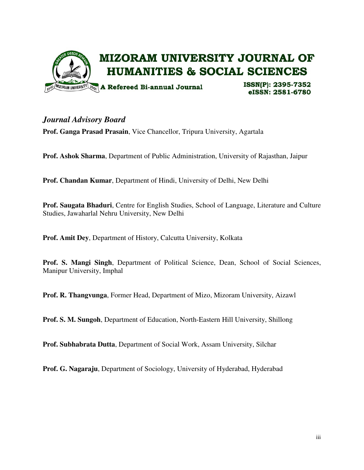

#### *Journal Advisory Board*

**Prof. Ganga Prasad Prasain**, Vice Chancellor, Tripura University, Agartala

**Prof. Ashok Sharma**, Department of Public Administration, University of Rajasthan, Jaipur

**Prof. Chandan Kumar**, Department of Hindi, University of Delhi, New Delhi

**Prof. Saugata Bhaduri**, Centre for English Studies, School of Language, Literature and Culture Studies, Jawaharlal Nehru University, New Delhi

**Prof. Amit Dey**, Department of History, Calcutta University, Kolkata

**Prof. S. Mangi Singh**, Department of Political Science, Dean, School of Social Sciences, Manipur University, Imphal

**Prof. R. Thangvunga**, Former Head, Department of Mizo, Mizoram University, Aizawl

**Prof. S. M. Sungoh**, Department of Education, North-Eastern Hill University, Shillong

**Prof. Subhabrata Dutta**, Department of Social Work, Assam University, Silchar

**Prof. G. Nagaraju**, Department of Sociology, University of Hyderabad, Hyderabad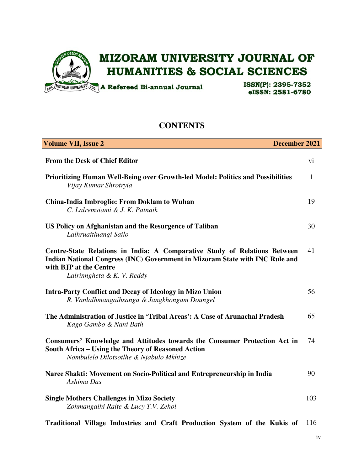

# **CONTENTS**

| December 2021<br><b>Volume VII, Issue 2</b>                                                                                                                                                                       |     |  |  |
|-------------------------------------------------------------------------------------------------------------------------------------------------------------------------------------------------------------------|-----|--|--|
| <b>From the Desk of Chief Editor</b>                                                                                                                                                                              | vi  |  |  |
| Prioritizing Human Well-Being over Growth-led Model: Politics and Possibilities<br>Vijay Kumar Shrotryia                                                                                                          | 1   |  |  |
| China-India Imbroglio: From Doklam to Wuhan<br>C. Lalremsiami & J. K. Patnaik                                                                                                                                     | 19  |  |  |
| US Policy on Afghanistan and the Resurgence of Taliban<br>Lalhruaitluangi Sailo                                                                                                                                   | 30  |  |  |
| Centre-State Relations in India: A Comparative Study of Relations Between<br>Indian National Congress (INC) Government in Mizoram State with INC Rule and<br>with BJP at the Centre<br>Lalrinngheta & K. V. Reddy | 41  |  |  |
| <b>Intra-Party Conflict and Decay of Ideology in Mizo Union</b><br>R. Vanlalhmangaihsanga & Jangkhongam Doungel                                                                                                   | 56  |  |  |
| The Administration of Justice in 'Tribal Areas': A Case of Arunachal Pradesh<br>Kago Gambo & Nani Bath                                                                                                            | 65  |  |  |
| Consumers' Knowledge and Attitudes towards the Consumer Protection Act in<br>South Africa – Using the Theory of Reasoned Action<br>Nombulelo Dilotsotlhe & Njabulo Mkhize                                         |     |  |  |
| Naree Shakti: Movement on Socio-Political and Entrepreneurship in India<br>Ashima Das                                                                                                                             | 90  |  |  |
| <b>Single Mothers Challenges in Mizo Society</b><br>Zohmangaihi Ralte & Lucy T.V. Zehol                                                                                                                           |     |  |  |
| Traditional Village Industries and Craft Production System of the Kukis of                                                                                                                                        | 116 |  |  |